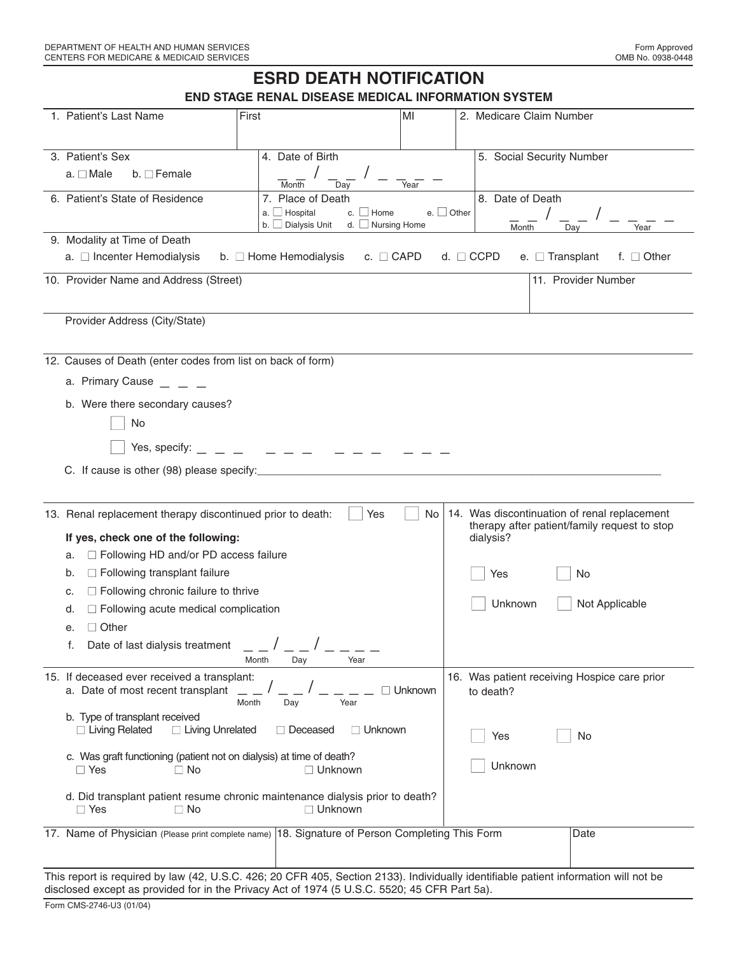# **ESRD DEATH NOTIFICATION**

**END STAGE RENAL DISEASE MEDICAL INFORMATION SYSTEM**

| 1. Patient's Last Name                                                                                                                                                                                                                                                                                                                                                              | First                                                                       | MI                                        | 2. Medicare Claim Number                                                    |                                                                      |
|-------------------------------------------------------------------------------------------------------------------------------------------------------------------------------------------------------------------------------------------------------------------------------------------------------------------------------------------------------------------------------------|-----------------------------------------------------------------------------|-------------------------------------------|-----------------------------------------------------------------------------|----------------------------------------------------------------------|
| 3. Patient's Sex<br>$a. \Box$ Male<br>$b. \Box$ Female                                                                                                                                                                                                                                                                                                                              | 4. Date of Birth<br>Month<br>Dav                                            | Year                                      | 5. Social Security Number                                                   |                                                                      |
| 6. Patient's State of Residence                                                                                                                                                                                                                                                                                                                                                     | 7. Place of Death<br>$a.$ Hospital<br>c. $\Box$ Home<br>$b.$ Dialysis Unit  | e. $\Box$ Other<br>d. $\Box$ Nursing Home | 8. Date of Death<br>Month                                                   | Year<br>Day                                                          |
| 9. Modality at Time of Death<br>a. □ Incenter Hemodialysis                                                                                                                                                                                                                                                                                                                          | b. $\Box$ Home Hemodialysis                                                 | c. $\Box$ CAPD                            | e. $\Box$ Transplant<br>d. $\Box$ CCPD                                      | f. $\Box$ Other                                                      |
| 10. Provider Name and Address (Street)                                                                                                                                                                                                                                                                                                                                              |                                                                             |                                           |                                                                             | 11. Provider Number                                                  |
| Provider Address (City/State)                                                                                                                                                                                                                                                                                                                                                       |                                                                             |                                           |                                                                             |                                                                      |
| 12. Causes of Death (enter codes from list on back of form)<br>a. Primary Cause<br>b. Were there secondary causes?<br>No<br>Yes, specify:<br>C. If cause is other (98) please specify:                                                                                                                                                                                              | $\equiv$ $\equiv$ $\equiv$                                                  |                                           |                                                                             |                                                                      |
| 13. Renal replacement therapy discontinued prior to death:<br>If yes, check one of the following:<br>□ Following HD and/or PD access failure<br>a.<br>$\Box$ Following transplant failure<br>b.<br>$\Box$ Following chronic failure to thrive<br>c.<br>$\Box$ Following acute medical complication<br>d.<br>$\Box$ Other<br>е.<br>Date of last dialysis treatment $\qquad \qquad$ / | Month<br>Year<br>Day                                                        | Yes<br>No.                                | 14. Was discontinuation of renal replacement<br>dialysis?<br>Yes<br>Unknown | therapy after patient/family request to stop<br>No<br>Not Applicable |
| 15. If deceased ever received a transplant:<br>a. Date of most recent transplant<br>b. Type of transplant received<br>$\Box$ Living Related<br>□ Living Unrelated<br>c. Was graft functioning (patient not on dialysis) at time of death?<br>$\Box$ Yes<br>$\Box$ No<br>d. Did transplant patient resume chronic maintenance dialysis prior to death?<br>$\Box$ Yes<br>$\Box$ No    | Month<br>Day<br>Year<br>$\Box$ Deceased<br>$\Box$ Unknown<br>$\Box$ Unknown | Unknown<br>$\Box$ Unknown                 | 16. Was patient receiving Hospice care prior<br>to death?<br>Yes<br>Unknown | No                                                                   |
| 17. Name of Physician (Please print complete name) 18. Signature of Person Completing This Form                                                                                                                                                                                                                                                                                     |                                                                             |                                           |                                                                             | Date                                                                 |
| This report is required by law (42, U.S.C. 426; 20 CFR 405, Section 2133). Individually identifiable patient information will not be<br>disclosed except as provided for in the Privacy Act of 1974 (5 U.S.C. 5520; 45 CFR Part 5a).<br>Form CMS-2746-U3 (01/04)                                                                                                                    |                                                                             |                                           |                                                                             |                                                                      |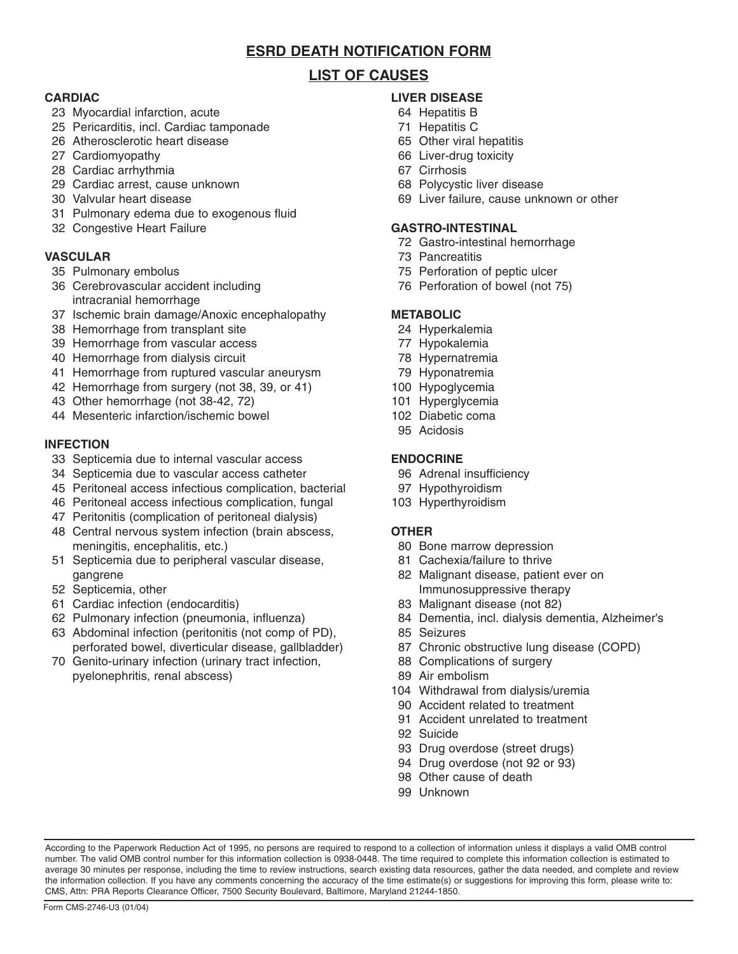# **ESRD DEATH NOTIFICATION FORM**

# **LIST OF CAUSES**

## **CARDIAC**

- 23 Myocardial infarction, acute
- 25 Pericarditis, incl. Cardiac tamponade
- 26 Atherosclerotic heart disease
- 27 Cardiomyopathy
- 28 Cardiac arrhythmia
- 29 Cardiac arrest, cause unknown
- 30 Valvular heart disease
- 31 Pulmonary edema due to exogenous fluid
- 32 Congestive Heart Failure

## **VASCULAR**

- 35 Pulmonary embolus
- 36 Cerebrovascular accident including intracranial hemorrhage
- 37 Ischemic brain damage/Anoxic encephalopathy
- 38 Hemorrhage from transplant site
- 39 Hemorrhage from vascular access
- 40 Hemorrhage from dialysis circuit
- 41 Hemorrhage from ruptured vascular aneurysm
- 42 Hemorrhage from surgery (not 38, 39, or 41)
- 43 Other hemorrhage (not 38-42, 72)
- 44 Mesenteric infarction/ischemic bowel

### **INFECTION**

- 33 Septicemia due to internal vascular access
- 34 Septicemia due to vascular access catheter
- 45 Peritoneal access infectious complication, bacterial
- 46 Peritoneal access infectious complication, fungal
- 47 Peritonitis (complication of peritoneal dialysis)
- 48 Central nervous system infection (brain abscess, meningitis, encephalitis, etc.)
- 51 Septicemia due to peripheral vascular disease, gangrene
- 52 Septicemia, other
- 61 Cardiac infection (endocarditis)
- 62 Pulmonary infection (pneumonia, influenza)
- 63 Abdominal infection (peritonitis (not comp of PD), perforated bowel, diverticular disease, gallbladder)
- 70 Genito-urinary infection (urinary tract infection, pyelonephritis, renal abscess)

# **LIVER DISEASE**

- 64 Hepatitis B
- 71 Hepatitis C
- 65 Other viral hepatitis
- 66 Liver-drug toxicity
- 67 Cirrhosis
- 68 Polycystic liver disease
- 69 Liver failure, cause unknown or other

#### **GASTRO-INTESTINAL**

- 72 Gastro-intestinal hemorrhage
- 73 Pancreatitis
- 75 Perforation of peptic ulcer
- 76 Perforation of bowel (not 75)

# **METABOLIC**

- 24 Hyperkalemia
- 77 Hypokalemia
- 78 Hypernatremia
- 79 Hyponatremia
- 100 Hypoglycemia
- 101 Hyperglycemia
- 102 Diabetic coma
- 95 Acidosis

## **ENDOCRINE**

- 96 Adrenal insufficiency
- 97 Hypothyroidism
- 103 Hyperthyroidism

### **OTHER**

- 80 Bone marrow depression
- 81 Cachexia/failure to thrive
- 82 Malignant disease, patient ever on Immunosuppressive therapy
- 83 Malignant disease (not 82)
- 84 Dementia, incl. dialysis dementia, Alzheimer's
- 85 Seizures
- 87 Chronic obstructive lung disease (COPD)
- 88 Complications of surgery
- 89 Air embolism
- 104 Withdrawal from dialysis/uremia
- 90 Accident related to treatment
- 91 Accident unrelated to treatment
- 92 Suicide
- 93 Drug overdose (street drugs)
- 94 Drug overdose (not 92 or 93)
- 98 Other cause of death
- 99 Unknown

According to the Paperwork Reduction Act of 1995, no persons are required to respond to a collection of information unless it displays a valid OMB control number. The valid OMB control number for this information collection is 0938-0448. The time required to complete this information collection is estimated to average 30 minutes per response, including the time to review instructions, search existing data resources, gather the data needed, and complete and review the information collection. If you have any comments concerning the accuracy of the time estimate(s) or suggestions for improving this form, please write to: CMS, Attn: PRA Reports Clearance Officer, 7500 Security Boulevard, Baltimore, Maryland 21244-1850.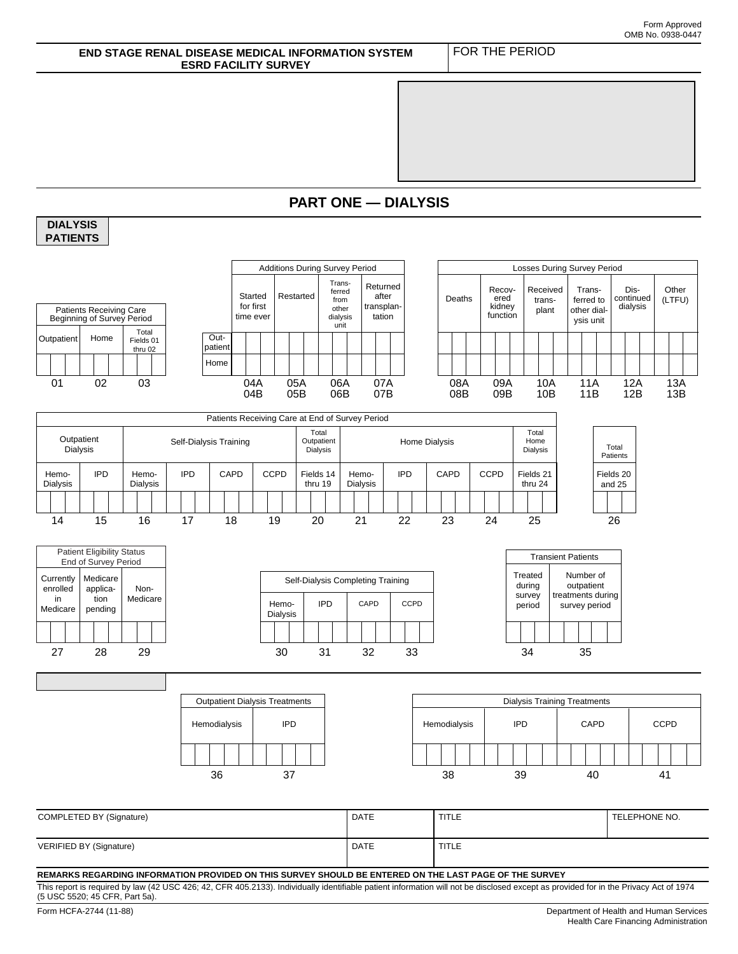#### **END STAGE RENAL DISEASE MEDICAL INFORMATION SYSTEM ESRD FACILITY SURVEY**  FOR THE PERIOD **PART ONE — DIALYSIS** Losses During Survey Period **DIALYSIS PATIENTS**  Additions During Survey Period Started for first time ever Restarted Transferred from other dialysis unit Returned after transplantation Outpatier Home **Total** Fields 01 thru 02 Home Patients Receiving Care Beginning of Survey Period Deaths Recovered kidney function Received transplant Transferred to other dialysis unit Discontinued dialysis **Other** (LTFU) **Outpatient** 01 02 03 04A 05A 06A 07A 08A 09A 10A 11A 12A 13A 04B 05B 06B 07B 08B 09B 10B 11B 12B 13B Fields 20 and 25 Total Patients 14 15 16 17 18 19 20 21 22 23 24 25 26 Hemo-Dialysis IPD CAPD Self-Dialysis Completing Training **CCPD** Treated during survey period Number of outpatient treatments during survey period Transient Patients 27 28 29 30 31 32 33 34 35 Hemodialysis | IPD Outpatient Dialysis Treatments Hemodialysis | IPD Dialysis Training Treatments CAPD CCPD 36 37 38 39 40 41 Hemo-Dialysis IPD Hemo-Dialysis IPD CAPD CCPD Fields 14 thru 19 Hemo-Dialysis IPD CAPD CCPD Fields 21 thru 24 Patients Receiving Care at End of Survey Period Outpatient<br>Dialysis Self-Dialysis Training Total Outpatient Dialysis Home Dialysis Total Home Dialysis Patient Eligibility Status End of Survey Period **Currently** enrolled in Medicare Non-Medicare Medicare application pending COMPLETED BY (Signature) **DATE** TITLE VERIFIED BY (Signature) and the state of the state of the state of the state of the state of the state of the state of the state of the state of the state of the state of the state of the state of the state of the state of TELEPHONE NO. **REMARKS REGARDING INFORMATION PROVIDED ON THIS SURVEY SHOULD BE ENTERED ON THE LAST PAGE OF THE SURVEY**

This report is required by law (42 USC 426; 42, CFR 405.2133). Individually identifiable patient information will not be disclosed except as provided for in the Privacy Act of 1974 (5 USC 5520; 45 CFR, Part 5a).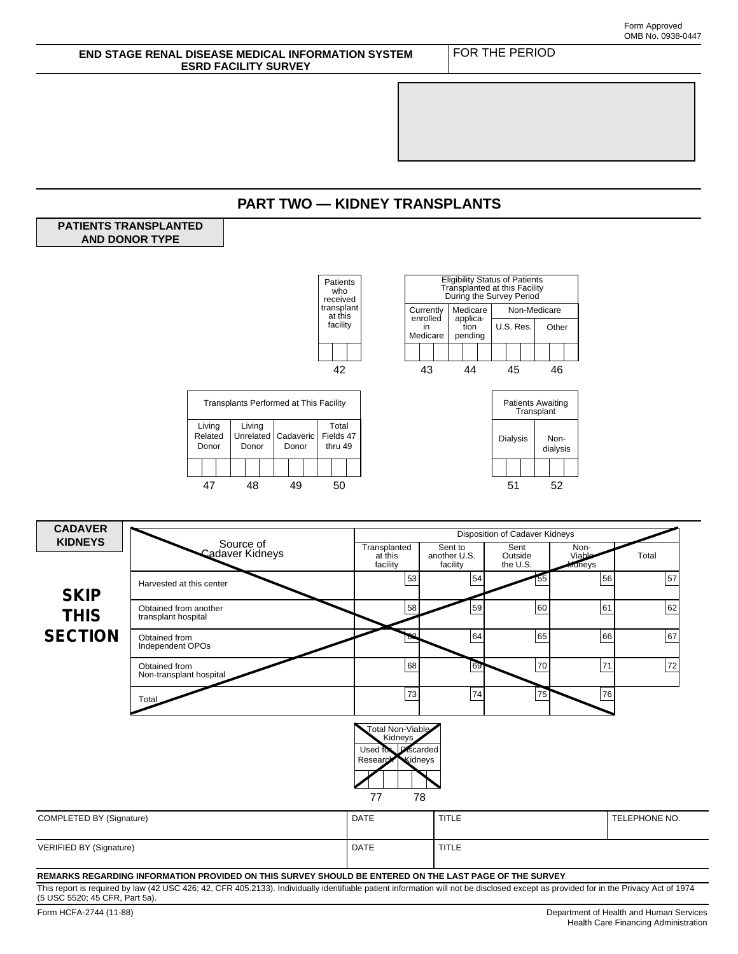

This report is required by law (42 USC 426; 42, CFR 405.2133). Individually identifiable patient information will not be disclosed except as provided for in the Privacy Act of 1974 (5 USC 5520; 45 CFR, Part 5a).